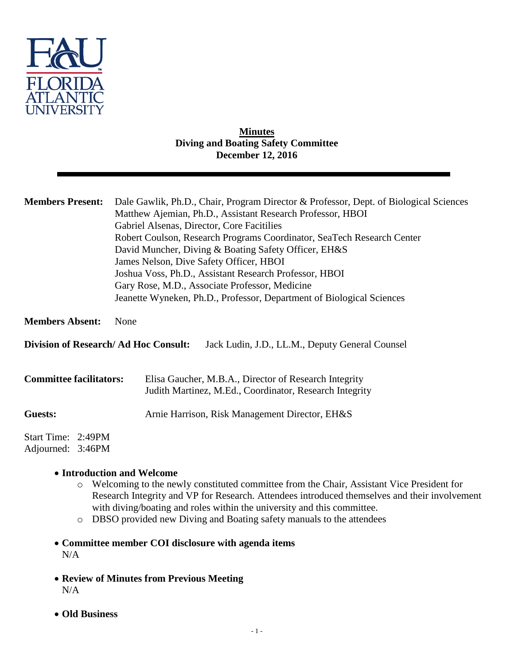

## **Minutes Diving and Boating Safety Committee December 12, 2016**

| <b>Members Present:</b>                                                                        | Dale Gawlik, Ph.D., Chair, Program Director & Professor, Dept. of Biological Sciences<br>Matthew Ajemian, Ph.D., Assistant Research Professor, HBOI<br>Gabriel Alsenas, Director, Core Facitilies<br>Robert Coulson, Research Programs Coordinator, SeaTech Research Center<br>David Muncher, Diving & Boating Safety Officer, EH&S<br>James Nelson, Dive Safety Officer, HBOI<br>Joshua Voss, Ph.D., Assistant Research Professor, HBOI<br>Gary Rose, M.D., Associate Professor, Medicine<br>Jeanette Wyneken, Ph.D., Professor, Department of Biological Sciences |
|------------------------------------------------------------------------------------------------|---------------------------------------------------------------------------------------------------------------------------------------------------------------------------------------------------------------------------------------------------------------------------------------------------------------------------------------------------------------------------------------------------------------------------------------------------------------------------------------------------------------------------------------------------------------------|
| <b>Members Absent:</b>                                                                         | None                                                                                                                                                                                                                                                                                                                                                                                                                                                                                                                                                                |
| <b>Division of Research/Ad Hoc Consult:</b><br>Jack Ludin, J.D., LL.M., Deputy General Counsel |                                                                                                                                                                                                                                                                                                                                                                                                                                                                                                                                                                     |
| <b>Committee facilitators:</b>                                                                 | Elisa Gaucher, M.B.A., Director of Research Integrity<br>Judith Martinez, M.Ed., Coordinator, Research Integrity                                                                                                                                                                                                                                                                                                                                                                                                                                                    |
| Guests:                                                                                        | Arnie Harrison, Risk Management Director, EH&S                                                                                                                                                                                                                                                                                                                                                                                                                                                                                                                      |
| Start Time: 2:49PM<br>Adjourned: 3:46PM                                                        |                                                                                                                                                                                                                                                                                                                                                                                                                                                                                                                                                                     |

## **Introduction and Welcome**

- o Welcoming to the newly constituted committee from the Chair, Assistant Vice President for Research Integrity and VP for Research. Attendees introduced themselves and their involvement with diving/boating and roles within the university and this committee.
- o DBSO provided new Diving and Boating safety manuals to the attendees
- **Committee member COI disclosure with agenda items** N/A
- **Review of Minutes from Previous Meeting** N/A
- **Old Business**